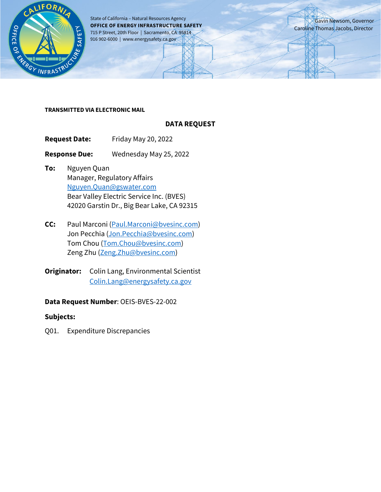

State of California – Natural Resources Agency **OFFICE OF ENERGY INFRASTRUCTURE SAFETY** 715 P Street, 20th Floor | Sacramento, CA 95814 916 902-6000 | www.energysafety.ca.gov

Gavin Newsom, Governor Caroline Thomas Jacobs, Director

#### **TRANSMITTED VIA ELECTRONIC MAIL**

### **DATA REQUEST**

**Request Date:** Friday May 20, 2022

**Response Due:** Wednesday May 25, 2022

- **To:** Nguyen Quan Manager, Regulatory Affairs [Nguyen.Quan@gswater.com](mailto:Nguyen.Quan@gswater.com) Bear Valley Electric Service Inc. (BVES) 42020 Garstin Dr., Big Bear Lake, CA 92315
- **CC:** Paul Marconi [\(Paul.Marconi@bvesinc.com\)](mailto:Paul.Marconi@bvesinc.com) Jon Pecchia [\(Jon.Pecchia@bvesinc.com\)](mailto:Jon.Pecchia@bvesinc.com) Tom Chou [\(Tom.Chou@bvesinc.com\)](mailto:Tom.Chou@bvesinc.com) Zeng Zhu [\(Zeng.Zhu@bvesinc.com\)](mailto:Zeng.Zhu@bvesinc.com)
- **Originator:** Colin Lang, Environmental Scientist [Colin.Lang@energysafety.ca.gov](mailto:Colin.Lang@energysafety.ca.gov)

### **Data Request Number**: OEIS-BVES-22-002

### **Subjects:**

Q01. Expenditure Discrepancies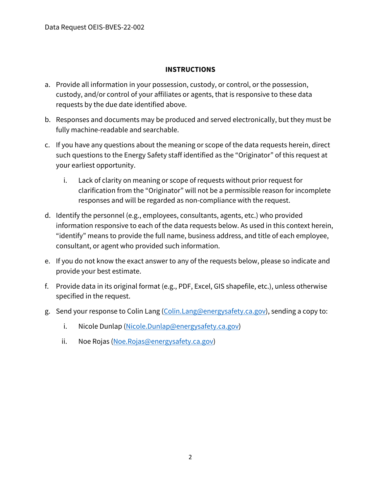# **INSTRUCTIONS**

- a. Provide all information in your possession, custody, or control, or the possession, custody, and/or control of your affiliates or agents, that is responsive to these data requests by the due date identified above.
- b. Responses and documents may be produced and served electronically, but they must be fully machine-readable and searchable.
- c. If you have any questions about the meaning or scope of the data requests herein, direct such questions to the Energy Safety staff identified as the "Originator" of this request at your earliest opportunity.
	- i. Lack of clarity on meaning or scope of requests without prior request for clarification from the "Originator" will not be a permissible reason for incomplete responses and will be regarded as non-compliance with the request.
- d. Identify the personnel (e.g., employees, consultants, agents, etc.) who provided information responsive to each of the data requests below. As used in this context herein, "identify" means to provide the full name, business address, and title of each employee, consultant, or agent who provided such information.
- e. If you do not know the exact answer to any of the requests below, please so indicate and provide your best estimate.
- f. Provide data in its original format (e.g., PDF, Excel, GIS shapefile, etc.), unless otherwise specified in the request.
- g. Send your response to Colin Lang [\(Colin.Lang@energysafety.ca.gov\)](mailto:Colin.Lang@energysafety.ca.gov), sending a copy to:
	- i. Nicole Dunlap [\(Nicole.Dunlap@energysafety.ca.gov\)](mailto:nicole.dunlap@energysafety.ca.gov)
	- ii. Noe Rojas [\(Noe.Rojas@energysafety.ca.gov\)](mailto:noe.rojas@energysafety.ca.gov)